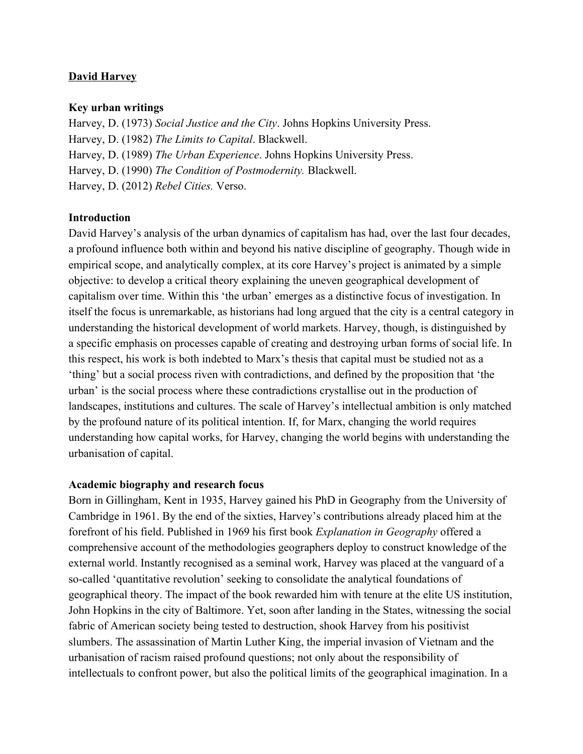# **David Harvey**

### **Key urban writings**

Harvey, D. (1973) *Social Justice and the City*. Johns Hopkins University Press. Harvey, D. (1982) *The Limits to Capital*. Blackwell. Harvey, D. (1989) *The Urban Experience*. Johns Hopkins University Press. Harvey, D. (1990) *The Condition of Postmodernity.* Blackwell. Harvey, D. (2012) *Rebel Cities.* Verso.

# **Introduction**

David Harvey's analysis of the urban dynamics of capitalism has had, over the last four decades, a profound influence both within and beyond his native discipline of geography. Though wide in empirical scope, and analytically complex, at its core Harvey's project is animated by a simple objective: to develop a critical theory explaining the uneven geographical development of capitalism over time. Within this 'the urban' emerges as a distinctive focus of investigation. In itself the focus is unremarkable, as historians had long argued that the city is a central category in understanding the historical development of world markets. Harvey, though, is distinguished by a specific emphasis on processes capable of creating and destroying urban forms of social life. In this respect, his work is both indebted to Marx's thesis that capital must be studied not as a 'thing' but a social process riven with contradictions, and defined by the proposition that 'the urban' is the social process where these contradictions crystallise out in the production of landscapes, institutions and cultures. The scale of Harvey's intellectual ambition is only matched by the profound nature of its political intention. If, for Marx, changing the world requires understanding how capital works, for Harvey, changing the world begins with understanding the urbanisation of capital.

### **Academic biography and research focus**

Born in Gillingham, Kent in 1935, Harvey gained his PhD in Geography from the University of Cambridge in 1961. By the end of the sixties, Harvey's contributions already placed him at the forefront of his field. Published in 1969 his first book *Explanation in Geography* offered a comprehensive account of the methodologies geographers deploy to construct knowledge of the external world. Instantly recognised as a seminal work, Harvey was placed at the vanguard of a so-called 'quantitative revolution' seeking to consolidate the analytical foundations of geographical theory. The impact of the book rewarded him with tenure at the elite US institution, John Hopkins in the city of Baltimore. Yet, soon after landing in the States, witnessing the social fabric of American society being tested to destruction, shook Harvey from his positivist slumbers. The assassination of Martin Luther King, the imperial invasion of Vietnam and the urbanisation of racism raised profound questions; not only about the responsibility of intellectuals to confront power, but also the political limits of the geographical imagination. In a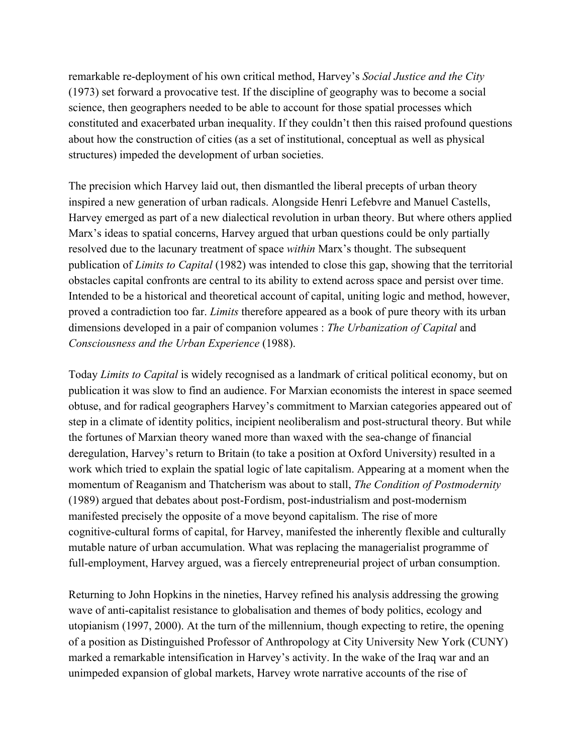remarkable re-deployment of his own critical method, Harvey's *Social Justice and the City* (1973) set forward a provocative test. If the discipline of geography was to become a social science, then geographers needed to be able to account for those spatial processes which constituted and exacerbated urban inequality. If they couldn't then this raised profound questions about how the construction of cities (as a set of institutional, conceptual as well as physical structures) impeded the development of urban societies.

The precision which Harvey laid out, then dismantled the liberal precepts of urban theory inspired a new generation of urban radicals. Alongside Henri Lefebvre and Manuel Castells, Harvey emerged as part of a new dialectical revolution in urban theory. But where others applied Marx's ideas to spatial concerns, Harvey argued that urban questions could be only partially resolved due to the lacunary treatment of space *within* Marx's thought. The subsequent publication of *Limits to Capital* (1982) was intended to close this gap, showing that the territorial obstacles capital confronts are central to its ability to extend across space and persist over time. Intended to be a historical and theoretical account of capital, uniting logic and method, however, proved a contradiction too far. *Limits* therefore appeared as a book of pure theory with its urban dimensions developed in a pair of companion volumes : *The Urbanization of Capital* and *Consciousness and the Urban Experience* (1988).

Today *Limits to Capital* is widely recognised as a landmark of critical political economy, but on publication it was slow to find an audience. For Marxian economists the interest in space seemed obtuse, and for radical geographers Harvey's commitment to Marxian categories appeared out of step in a climate of identity politics, incipient neoliberalism and post-structural theory. But while the fortunes of Marxian theory waned more than waxed with the seachange of financial deregulation, Harvey's return to Britain (to take a position at Oxford University) resulted in a work which tried to explain the spatial logic of late capitalism. Appearing at a moment when the momentum of Reaganism and Thatcherism was about to stall, *The Condition of Postmodernity* (1989) argued that debates about post-Fordism, post-industrialism and post-modernism manifested precisely the opposite of a move beyond capitalism. The rise of more cognitive-cultural forms of capital, for Harvey, manifested the inherently flexible and culturally mutable nature of urban accumulation. What was replacing the managerialist programme of full-employment, Harvey argued, was a fiercely entrepreneurial project of urban consumption.

Returning to John Hopkins in the nineties, Harvey refined his analysis addressing the growing wave of anti-capitalist resistance to globalisation and themes of body politics, ecology and utopianism (1997, 2000). At the turn of the millennium, though expecting to retire, the opening of a position as Distinguished Professor of Anthropology at City University New York (CUNY) marked a remarkable intensification in Harvey's activity. In the wake of the Iraq war and an unimpeded expansion of global markets, Harvey wrote narrative accounts of the rise of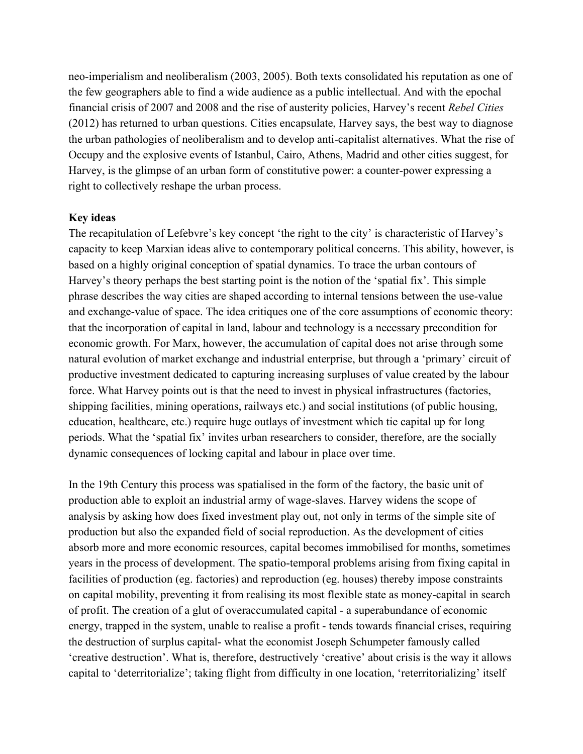neo-imperialism and neoliberalism (2003, 2005). Both texts consolidated his reputation as one of the few geographers able to find a wide audience as a public intellectual. And with the epochal financial crisis of 2007 and 2008 and the rise of austerity policies, Harvey's recent *Rebel Cities* (2012) has returned to urban questions. Cities encapsulate, Harvey says, the best way to diagnose the urban pathologies of neoliberalism and to develop anti-capitalist alternatives. What the rise of Occupy and the explosive events of Istanbul, Cairo, Athens, Madrid and other cities suggest, for Harvey, is the glimpse of an urban form of constitutive power: a counter-power expressing a right to collectively reshape the urban process.

#### **Key ideas**

The recapitulation of Lefebvre's key concept 'the right to the city' is characteristic of Harvey's capacity to keep Marxian ideas alive to contemporary political concerns. This ability, however, is based on a highly original conception of spatial dynamics. To trace the urban contours of Harvey's theory perhaps the best starting point is the notion of the 'spatial fix'. This simple phrase describes the way cities are shaped according to internal tensions between the use-value and exchange-value of space. The idea critiques one of the core assumptions of economic theory: that the incorporation of capital in land, labour and technology is a necessary precondition for economic growth. For Marx, however, the accumulation of capital does not arise through some natural evolution of market exchange and industrial enterprise, but through a 'primary' circuit of productive investment dedicated to capturing increasing surpluses of value created by the labour force. What Harvey points out is that the need to invest in physical infrastructures (factories, shipping facilities, mining operations, railways etc.) and social institutions (of public housing, education, healthcare, etc.) require huge outlays of investment which tie capital up for long periods. What the 'spatial fix' invites urban researchers to consider, therefore, are the socially dynamic consequences of locking capital and labour in place over time.

In the 19th Century this process was spatialised in the form of the factory, the basic unit of production able to exploit an industrial army of wage-slaves. Harvey widens the scope of analysis by asking how does fixed investment play out, not only in terms of the simple site of production but also the expanded field of social reproduction. As the development of cities absorb more and more economic resources, capital becomes immobilised for months, sometimes years in the process of development. The spatio-temporal problems arising from fixing capital in facilities of production (eg. factories) and reproduction (eg. houses) thereby impose constraints on capital mobility, preventing it from realising its most flexible state as money-capital in search of profit. The creation of a glut of overaccumulated capital a superabundance of economic energy, trapped in the system, unable to realise a profit - tends towards financial crises, requiring the destruction of surplus capital-what the economist Joseph Schumpeter famously called 'creative destruction'. What is, therefore, destructively 'creative' about crisis is the way it allows capital to 'deterritorialize'; taking flight from difficulty in one location, 'reterritorializing' itself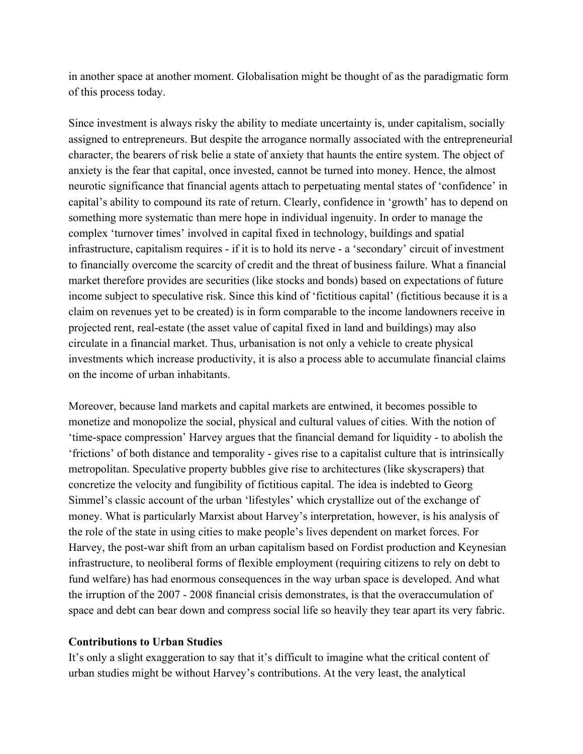in another space at another moment. Globalisation might be thought of as the paradigmatic form of this process today.

Since investment is always risky the ability to mediate uncertainty is, under capitalism, socially assigned to entrepreneurs. But despite the arrogance normally associated with the entrepreneurial character, the bearers of risk belie a state of anxiety that haunts the entire system. The object of anxiety is the fear that capital, once invested, cannot be turned into money. Hence, the almost neurotic significance that financial agents attach to perpetuating mental states of 'confidence' in capital's ability to compound its rate of return. Clearly, confidence in 'growth' has to depend on something more systematic than mere hope in individual ingenuity. In order to manage the complex 'turnover times' involved in capital fixed in technology, buildings and spatial infrastructure, capitalism requires - if it is to hold its nerve - a 'secondary' circuit of investment to financially overcome the scarcity of credit and the threat of business failure. What a financial market therefore provides are securities (like stocks and bonds) based on expectations of future income subject to speculative risk. Since this kind of 'fictitious capital' (fictitious because it is a claim on revenues yet to be created) is in form comparable to the income landowners receive in projected rent, real-estate (the asset value of capital fixed in land and buildings) may also circulate in a financial market. Thus, urbanisation is not only a vehicle to create physical investments which increase productivity, it is also a process able to accumulate financial claims on the income of urban inhabitants.

Moreover, because land markets and capital markets are entwined, it becomes possible to monetize and monopolize the social, physical and cultural values of cities. With the notion of 'timespace compression' Harvey argues that the financial demand for liquidity to abolish the 'frictions' of both distance and temporality gives rise to a capitalist culture that is intrinsically metropolitan. Speculative property bubbles give rise to architectures (like skyscrapers) that concretize the velocity and fungibility of fictitious capital. The idea is indebted to Georg Simmel's classic account of the urban 'lifestyles' which crystallize out of the exchange of money. What is particularly Marxist about Harvey's interpretation, however, is his analysis of the role of the state in using cities to make people's lives dependent on market forces. For Harvey, the post-war shift from an urban capitalism based on Fordist production and Keynesian infrastructure, to neoliberal forms of flexible employment (requiring citizens to rely on debt to fund welfare) has had enormous consequences in the way urban space is developed. And what the irruption of the 2007 - 2008 financial crisis demonstrates, is that the overaccumulation of space and debt can bear down and compress social life so heavily they tear apart its very fabric.

### **Contributions to Urban Studies**

It's only a slight exaggeration to say that it's difficult to imagine what the critical content of urban studies might be without Harvey's contributions. At the very least, the analytical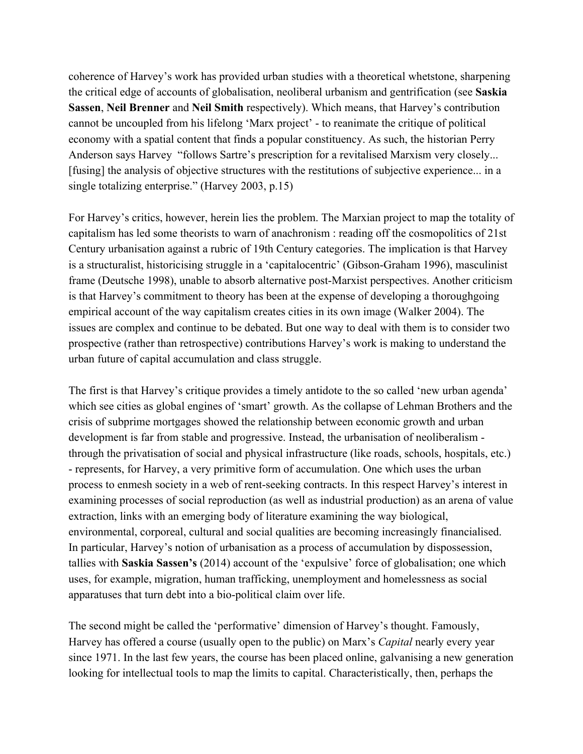coherence of Harvey's work has provided urban studies with a theoretical whetstone, sharpening the critical edge of accounts of globalisation, neoliberal urbanism and gentrification (see **Saskia Sassen**, **Neil Brenner**and **Neil Smith**respectively). Which means, that Harvey's contribution cannot be uncoupled from his lifelong 'Marx project' to reanimate the critique of political economy with a spatial content that finds a popular constituency. As such, the historian Perry Anderson says Harvey "follows Sartre's prescription for a revitalised Marxism very closely... [fusing] the analysis of objective structures with the restitutions of subjective experience... in a single totalizing enterprise." (Harvey 2003, p.15)

For Harvey's critics, however, herein lies the problem. The Marxian project to map the totality of capitalism has led some theorists to warn of anachronism : reading off the cosmopolitics of 21st Century urbanisation against a rubric of 19th Century categories. The implication is that Harvey is a structuralist, historicising struggle in a 'capitalocentric' (Gibson-Graham 1996), masculinist frame (Deutsche 1998), unable to absorb alternative post-Marxist perspectives. Another criticism is that Harvey's commitment to theory has been at the expense of developing a thoroughgoing empirical account of the way capitalism creates cities in its own image (Walker 2004). The issues are complex and continue to be debated. But one way to deal with them is to consider two prospective (rather than retrospective) contributions Harvey's work is making to understand the urban future of capital accumulation and class struggle.

The first is that Harvey's critique provides a timely antidote to the so called 'new urban agenda' which see cities as global engines of 'smart' growth. As the collapse of Lehman Brothers and the crisis of subprime mortgages showed the relationship between economic growth and urban development is far from stable and progressive. Instead, the urbanisation of neoliberalism through the privatisation of social and physical infrastructure (like roads, schools, hospitals, etc.) represents, for Harvey, a very primitive form of accumulation. One which uses the urban process to enmesh society in a web of rent-seeking contracts. In this respect Harvey's interest in examining processes of social reproduction (as well as industrial production) as an arena of value extraction, links with an emerging body of literature examining the way biological, environmental, corporeal, cultural and social qualities are becoming increasingly financialised. In particular, Harvey's notion of urbanisation as a process of accumulation by dispossession, tallies with **Saskia Sassen's** (2014) account of the 'expulsive' force of globalisation; one which uses, for example, migration, human trafficking, unemployment and homelessness as social apparatuses that turn debt into a bio-political claim over life.

The second might be called the 'performative' dimension of Harvey's thought. Famously, Harvey has offered a course (usually open to the public) on Marx's *Capital* nearly every year since 1971. In the last few years, the course has been placed online, galvanising a new generation looking for intellectual tools to map the limits to capital. Characteristically, then, perhaps the